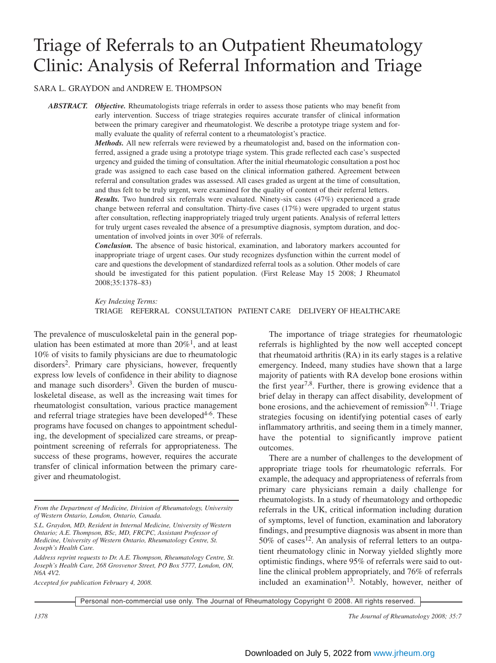# Triage of Referrals to an Outpatient Rheumatology Clinic: Analysis of Referral Information and Triage

## SARA L. GRAYDON and ANDREW E. THOMPSON

*ABSTRACT. Objective.* Rheumatologists triage referrals in order to assess those patients who may benefit from early intervention. Success of triage strategies requires accurate transfer of clinical information between the primary caregiver and rheumatologist. We describe a prototype triage system and formally evaluate the quality of referral content to a rheumatologist's practice.

*Methods.* All new referrals were reviewed by a rheumatologist and, based on the information conferred, assigned a grade using a prototype triage system. This grade reflected each case's suspected urgency and guided the timing of consultation. After the initial rheumatologic consultation a post hoc grade was assigned to each case based on the clinical information gathered. Agreement between referral and consultation grades was assessed. All cases graded as urgent at the time of consultation, and thus felt to be truly urgent, were examined for the quality of content of their referral letters.

*Results.* Two hundred six referrals were evaluated. Ninety-six cases (47%) experienced a grade change between referral and consultation. Thirty-five cases (17%) were upgraded to urgent status after consultation, reflecting inappropriately triaged truly urgent patients. Analysis of referral letters for truly urgent cases revealed the absence of a presumptive diagnosis, symptom duration, and documentation of involved joints in over 30% of referrals.

*Conclusion.* The absence of basic historical, examination, and laboratory markers accounted for inappropriate triage of urgent cases. Our study recognizes dysfunction within the current model of care and questions the development of standardized referral tools as a solution. Other models of care should be investigated for this patient population. (First Release May 15 2008; J Rheumatol 2008;35:1378–83)

*Key Indexing Terms:*

TRIAGE REFERRAL CONSULTATION PATIENT CARE DELIVERY OF HEALTHCARE

The prevalence of musculoskeletal pain in the general population has been estimated at more than  $20\%$ <sup>1</sup>, and at least 10% of visits to family physicians are due to rheumatologic disorders2. Primary care physicians, however, frequently express low levels of confidence in their ability to diagnose and manage such disorders<sup>3</sup>. Given the burden of musculoskeletal disease, as well as the increasing wait times for rheumatologist consultation, various practice management and referral triage strategies have been developed<sup>4-6</sup>. These programs have focused on changes to appointment scheduling, the development of specialized care streams, or preappointment screening of referrals for appropriateness. The success of these programs, however, requires the accurate transfer of clinical information between the primary caregiver and rheumatologist.

*Accepted for publication February 4, 2008.*

The importance of triage strategies for rheumatologic referrals is highlighted by the now well accepted concept that rheumatoid arthritis (RA) in its early stages is a relative emergency. Indeed, many studies have shown that a large majority of patients with RA develop bone erosions within the first year<sup>7,8</sup>. Further, there is growing evidence that a brief delay in therapy can affect disability, development of bone erosions, and the achievement of remission<sup>9-11</sup>. Triage strategies focusing on identifying potential cases of early inflammatory arthritis, and seeing them in a timely manner, have the potential to significantly improve patient outcomes.

There are a number of challenges to the development of appropriate triage tools for rheumatologic referrals. For example, the adequacy and appropriateness of referrals from primary care physicians remain a daily challenge for rheumatologists. In a study of rheumatology and orthopedic referrals in the UK, critical information including duration of symptoms, level of function, examination and laboratory findings, and presumptive diagnosis was absent in more than  $50\%$  of cases<sup>12</sup>. An analysis of referral letters to an outpatient rheumatology clinic in Norway yielded slightly more optimistic findings, where 95% of referrals were said to outline the clinical problem appropriately, and 76% of referrals included an examination<sup>13</sup>. Notably, however, neither of

Personal non-commercial use only. The Journal of Rheumatology Copyright © 2008. All rights reserved.

*1378 The Journal of Rheumatology 2008; 35:7*

*From the Department of Medicine, Division of Rheumatology, University of Western Ontario, London, Ontario, Canada.*

*S.L. Graydon, MD, Resident in Internal Medicine, University of Western Ontario; A.E. Thompson, BSc, MD, FRCPC, Assistant Professor of Medicine, University of Western Ontario, Rheumatology Centre, St. Joseph's Health Care.*

*Address reprint requests to Dr. A.E. Thompson, Rheumatology Centre, St. Joseph's Health Care, 268 Grosvenor Street, PO Box 5777, London, ON, N6A 4V2.*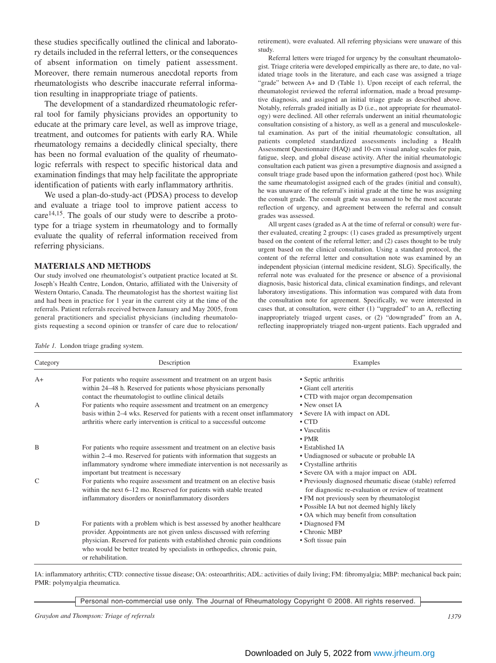these studies specifically outlined the clinical and laboratory details included in the referral letters, or the consequences of absent information on timely patient assessment. Moreover, there remain numerous anecdotal reports from rheumatologists who describe inaccurate referral information resulting in inappropriate triage of patients.

The development of a standardized rheumatologic referral tool for family physicians provides an opportunity to educate at the primary care level, as well as improve triage, treatment, and outcomes for patients with early RA. While rheumatology remains a decidedly clinical specialty, there has been no formal evaluation of the quality of rheumatologic referrals with respect to specific historical data and examination findings that may help facilitate the appropriate identification of patients with early inflammatory arthritis.

We used a plan-do-study-act (PDSA) process to develop and evaluate a triage tool to improve patient access to  $care<sup>14,15</sup>$ . The goals of our study were to describe a prototype for a triage system in rheumatology and to formally evaluate the quality of referral information received from referring physicians.

#### **MATERIALS AND METHODS**

Our study involved one rheumatologist's outpatient practice located at St. Joseph's Health Centre, London, Ontario, affiliated with the University of Western Ontario, Canada. The rheumatologist has the shortest waiting list and had been in practice for 1 year in the current city at the time of the referrals. Patient referrals received between January and May 2005, from general practitioners and specialist physicians (including rheumatologists requesting a second opinion or transfer of care due to relocation/ retirement), were evaluated. All referring physicians were unaware of this study.

Referral letters were triaged for urgency by the consultant rheumatologist. Triage criteria were developed empirically as there are, to date, no validated triage tools in the literature, and each case was assigned a triage "grade" between A+ and D (Table 1). Upon receipt of each referral, the rheumatologist reviewed the referral information, made a broad presumptive diagnosis, and assigned an initial triage grade as described above. Notably, referrals graded initially as D (i.e., not appropriate for rheumatology) were declined. All other referrals underwent an initial rheumatologic consultation consisting of a history, as well as a general and musculoskeletal examination. As part of the initial rheumatologic consultation, all patients completed standardized assessments including a Health Assessment Questionnaire (HAQ) and 10-cm visual analog scales for pain, fatigue, sleep, and global disease activity. After the initial rheumatologic consultation each patient was given a presumptive diagnosis and assigned a consult triage grade based upon the information gathered (post hoc). While the same rheumatologist assigned each of the grades (initial and consult), he was unaware of the referral's initial grade at the time he was assigning the consult grade. The consult grade was assumed to be the most accurate reflection of urgency, and agreement between the referral and consult grades was assessed.

All urgent cases (graded as A at the time of referral or consult) were further evaluated, creating 2 groups: (1) cases graded as presumptively urgent based on the content of the referral letter; and (2) cases thought to be truly urgent based on the clinical consultation. Using a standard protocol, the content of the referral letter and consultation note was examined by an independent physician (internal medicine resident, SLG). Specifically, the referral note was evaluated for the presence or absence of a provisional diagnosis, basic historical data, clinical examination findings, and relevant laboratory investigations. This information was compared with data from the consultation note for agreement. Specifically, we were interested in cases that, at consultation, were either (1) "upgraded" to an A, reflecting inappropriately triaged urgent cases, or (2) "downgraded" from an A, reflecting inappropriately triaged non-urgent patients. Each upgraded and

*Table 1.* London triage grading system.

| Category       | Description                                                                                                                                                                 | Examples                                                                                                         |
|----------------|-----------------------------------------------------------------------------------------------------------------------------------------------------------------------------|------------------------------------------------------------------------------------------------------------------|
| $A+$           | For patients who require assessment and treatment on an urgent basis                                                                                                        | • Septic arthritis                                                                                               |
|                | within 24–48 h. Reserved for patients whose physicians personally<br>contact the rheumatologist to outline clinical details                                                 | • Giant cell arteritis<br>• CTD with major organ decompensation                                                  |
| $\overline{A}$ | For patients who require assessment and treatment on an emergency                                                                                                           | • New onset IA                                                                                                   |
|                | basis within 2–4 wks. Reserved for patients with a recent onset inflammatory                                                                                                | • Severe IA with impact on ADL                                                                                   |
|                | arthritis where early intervention is critical to a successful outcome                                                                                                      | $\cdot$ CTD                                                                                                      |
|                |                                                                                                                                                                             | • Vasculitis                                                                                                     |
|                |                                                                                                                                                                             | $\bullet$ PMR                                                                                                    |
| B              | For patients who require assessment and treatment on an elective basis                                                                                                      | • Established IA                                                                                                 |
|                | within 2–4 mo. Reserved for patients with information that suggests an                                                                                                      | • Undiagnosed or subacute or probable IA                                                                         |
|                | inflammatory syndrome where immediate intervention is not necessarily as                                                                                                    | • Crystalline arthritis                                                                                          |
|                | important but treatment is necessary                                                                                                                                        | • Severe OA with a major impact on ADL                                                                           |
| $\mathcal{C}$  | For patients who require assessment and treatment on an elective basis<br>within the next $6-12$ mo. Reserved for patients with stable treated                              | • Previously diagnosed rheumatic diseae (stable) referred<br>for diagnostic re-evaluation or review of treatment |
|                | inflammatory disorders or noninflammatory disorders                                                                                                                         | • FM not previously seen by rheumatologist                                                                       |
|                |                                                                                                                                                                             | • Possible IA but not deemed highly likely                                                                       |
|                |                                                                                                                                                                             | • OA which may benefit from consultation                                                                         |
| D              | For patients with a problem which is best assessed by another healthcare                                                                                                    | • Diagnosed FM                                                                                                   |
|                | provider. Appointments are not given unless discussed with referring                                                                                                        | • Chronic MBP                                                                                                    |
|                | physician. Reserved for patients with established chronic pain conditions<br>who would be better treated by specialists in orthopedics, chronic pain,<br>or rehabilitation. | • Soft tissue pain                                                                                               |

IA: inflammatory arthritis; CTD: connective tissue disease; OA: osteoarthritis; ADL: activities of daily living; FM: fibromyalgia; MBP: mechanical back pain; PMR: polymyalgia rheumatica.

Personal non-commercial use only. The Journal of Rheumatology Copyright © 2008. All rights reserved.

*Graydon and Thompson: Triage of referrals 1379*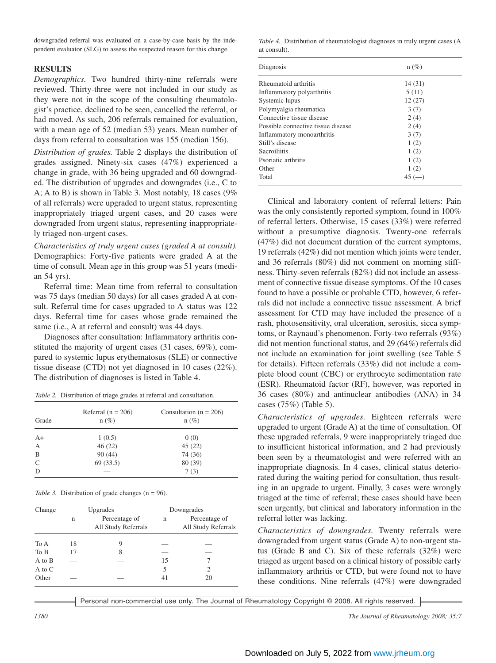downgraded referral was evaluated on a case-by-case basis by the independent evaluator (SLG) to assess the suspected reason for this change.

## **RESULTS**

*Demographics.* Two hundred thirty-nine referrals were reviewed. Thirty-three were not included in our study as they were not in the scope of the consulting rheumatologist's practice, declined to be seen, cancelled the referral, or had moved. As such, 206 referrals remained for evaluation, with a mean age of 52 (median 53) years. Mean number of days from referral to consultation was 155 (median 156).

*Distribution of grades.* Table 2 displays the distribution of grades assigned. Ninety-six cases (47%) experienced a change in grade, with 36 being upgraded and 60 downgraded. The distribution of upgrades and downgrades (i.e., C to A; A to B) is shown in Table 3. Most notably, 18 cases (9% of all referrals) were upgraded to urgent status, representing inappropriately triaged urgent cases, and 20 cases were downgraded from urgent status, representing inappropriately triaged non-urgent cases.

*Characteristics of truly urgent cases (graded A at consult).* Demographics: Forty-five patients were graded A at the time of consult. Mean age in this group was 51 years (median 54 yrs).

Referral time: Mean time from referral to consultation was 75 days (median 50 days) for all cases graded A at consult. Referral time for cases upgraded to A status was 122 days. Referral time for cases whose grade remained the same (i.e., A at referral and consult) was 44 days.

Diagnoses after consultation: Inflammatory arthritis constituted the majority of urgent cases (31 cases, 69%), compared to systemic lupus erythematosus (SLE) or connective tissue disease (CTD) not yet diagnosed in 10 cases (22%). The distribution of diagnoses is listed in Table 4.

*Table 2.* Distribution of triage grades at referral and consultation.

| Grade        | Referral $(n = 206)$<br>$n(\%)$ | Consultation ( $n = 206$ )<br>$n(\%)$ |
|--------------|---------------------------------|---------------------------------------|
| $A+$         | 1(0.5)                          | 0(0)                                  |
| $\mathbf{A}$ | 46(22)                          | 45(22)                                |
| B            | 90(44)                          | 74 (36)                               |
| C            | 69(33.5)                        | 80 (39)                               |
| D            |                                 | 7(3)                                  |

*Table 3.* Distribution of grade changes (n = 96).

| Change |    | Upgrades                             | Downgrades  |                                      |  |  |
|--------|----|--------------------------------------|-------------|--------------------------------------|--|--|
| n      |    | Percentage of<br>All Study Referrals | $\mathbf n$ | Percentage of<br>All Study Referrals |  |  |
| To A   | 18 | Q                                    |             |                                      |  |  |
| To B   | 17 | 8                                    |             |                                      |  |  |
| A to B |    |                                      | 15          |                                      |  |  |
| A to C |    |                                      | 5           |                                      |  |  |
| Other  |    |                                      | 4'          | 20                                   |  |  |

*Table 4.* Distribution of rheumatologist diagnoses in truly urgent cases (A at consult).

| Diagnosis                          | $n(\%)$  |
|------------------------------------|----------|
| Rheumatoid arthritis               | 14 (31)  |
| Inflammatory polyarthritis         | 5(11)    |
| Systemic lupus                     | 12(27)   |
| Polymyalgia rheumatica             | 3(7)     |
| Connective tissue disease          | 2(4)     |
| Possible connective tissue disease | 2(4)     |
| Inflammatory monoarthritis         | 3(7)     |
| Still's disease                    | 1(2)     |
| <b>Sacroiliitis</b>                | 1(2)     |
| Psoriatic arthritis                | 1(2)     |
| Other                              | 1(2)     |
| Total                              | 45 $(-)$ |

Clinical and laboratory content of referral letters: Pain was the only consistently reported symptom, found in 100% of referral letters. Otherwise, 15 cases (33%) were referred without a presumptive diagnosis. Twenty-one referrals (47%) did not document duration of the current symptoms, 19 referrals (42%) did not mention which joints were tender, and 36 referrals (80%) did not comment on morning stiffness. Thirty-seven referrals (82%) did not include an assessment of connective tissue disease symptoms. Of the 10 cases found to have a possible or probable CTD, however, 6 referrals did not include a connective tissue assessment. A brief assessment for CTD may have included the presence of a rash, photosensitivity, oral ulceration, serositis, sicca symptoms, or Raynaud's phenomenon. Forty-two referrals (93%) did not mention functional status, and 29 (64%) referrals did not include an examination for joint swelling (see Table 5 for details). Fifteen referrals (33%) did not include a complete blood count (CBC) or erythrocyte sedimentation rate (ESR). Rheumatoid factor (RF), however, was reported in 36 cases (80%) and antinuclear antibodies (ANA) in 34 cases (75%) (Table 5).

*Characteristics of upgrades.* Eighteen referrals were upgraded to urgent (Grade A) at the time of consultation. Of these upgraded referrals, 9 were inappropriately triaged due to insufficient historical information, and 2 had previously been seen by a rheumatologist and were referred with an inappropriate diagnosis. In 4 cases, clinical status deteriorated during the waiting period for consultation, thus resulting in an upgrade to urgent. Finally, 3 cases were wrongly triaged at the time of referral; these cases should have been seen urgently, but clinical and laboratory information in the referral letter was lacking.

*Characteristics of downgrades.* Twenty referrals were downgraded from urgent status (Grade A) to non-urgent status (Grade B and C). Six of these referrals (32%) were triaged as urgent based on a clinical history of possible early inflammatory arthritis or CTD, but were found not to have these conditions. Nine referrals (47%) were downgraded

Personal non-commercial use only. The Journal of Rheumatology Copyright © 2008. All rights reserved.

*1380 The Journal of Rheumatology 2008; 35:7*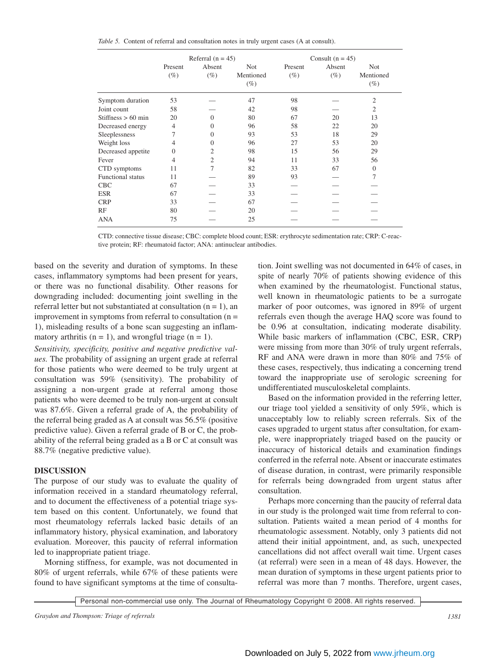|  |  |  |  | Table 5. Content of referral and consultation notes in truly urgent cases (A at consult). |  |  |  |  |  |  |  |  |
|--|--|--|--|-------------------------------------------------------------------------------------------|--|--|--|--|--|--|--|--|
|--|--|--|--|-------------------------------------------------------------------------------------------|--|--|--|--|--|--|--|--|

|                          |                   | Referral $(n = 45)$ |                                   | Consult $(n = 45)$ |                  |                                   |  |  |
|--------------------------|-------------------|---------------------|-----------------------------------|--------------------|------------------|-----------------------------------|--|--|
|                          | Present<br>$(\%)$ | Absent<br>$(\%)$    | <b>Not</b><br>Mentioned<br>$(\%)$ | Present<br>$(\%)$  | Absent<br>$(\%)$ | <b>Not</b><br>Mentioned<br>$(\%)$ |  |  |
| Symptom duration         | 53                |                     | 47                                | 98                 |                  | $\overline{2}$                    |  |  |
| Joint count              | 58                |                     | 42                                | 98                 |                  | $\overline{2}$                    |  |  |
| Stiffness $> 60$ min     | 20                | $\Omega$            | 80                                | 67                 | 20               | 13                                |  |  |
| Decreased energy         | $\overline{4}$    | $\overline{0}$      | 96                                | 58                 | 22               | 20                                |  |  |
| Sleeplessness            | 7                 | 0                   | 93                                | 53                 | 18               | 29                                |  |  |
| Weight loss              | 4                 | $\overline{0}$      | 96                                | 27                 | 53               | 20                                |  |  |
| Decreased appetite       | $\Omega$          | $\overline{c}$      | 98                                | 15                 | 56               | 29                                |  |  |
| Fever                    | $\overline{4}$    | $\overline{2}$      | 94                                | 11                 | 33               | 56                                |  |  |
| CTD symptoms             | 11                | 7                   | 82                                | 33                 | 67               | $\mathbf{0}$                      |  |  |
| <b>Functional</b> status | 11                |                     | 89                                | 93                 |                  | 7                                 |  |  |
| <b>CBC</b>               | 67                |                     | 33                                |                    |                  |                                   |  |  |
| <b>ESR</b>               | 67                |                     | 33                                |                    |                  |                                   |  |  |
| <b>CRP</b>               | 33                |                     | 67                                |                    |                  |                                   |  |  |
| RF                       | 80                |                     | 20                                |                    |                  |                                   |  |  |
| <b>ANA</b>               | 75                |                     | 25                                |                    |                  |                                   |  |  |

CTD: connective tissue disease; CBC: complete blood count; ESR: erythrocyte sedimentation rate; CRP: C-reactive protein; RF: rheumatoid factor; ANA: antinuclear antibodies.

based on the severity and duration of symptoms. In these cases, inflammatory symptoms had been present for years, or there was no functional disability. Other reasons for downgrading included: documenting joint swelling in the referral letter but not substantiated at consultation  $(n = 1)$ , an improvement in symptoms from referral to consultation  $(n =$ 1), misleading results of a bone scan suggesting an inflammatory arthritis ( $n = 1$ ), and wrongful triage ( $n = 1$ ).

*Sensitivity, specificity, positive and negative predictive values.* The probability of assigning an urgent grade at referral for those patients who were deemed to be truly urgent at consultation was 59% (sensitivity). The probability of assigning a non-urgent grade at referral among those patients who were deemed to be truly non-urgent at consult was 87.6%. Given a referral grade of A, the probability of the referral being graded as A at consult was 56.5% (positive predictive value). Given a referral grade of B or C, the probability of the referral being graded as a B or C at consult was 88.7% (negative predictive value).

### **DISCUSSION**

The purpose of our study was to evaluate the quality of information received in a standard rheumatology referral, and to document the effectiveness of a potential triage system based on this content. Unfortunately, we found that most rheumatology referrals lacked basic details of an inflammatory history, physical examination, and laboratory evaluation. Moreover, this paucity of referral information led to inappropriate patient triage.

Morning stiffness, for example, was not documented in 80% of urgent referrals, while 67% of these patients were found to have significant symptoms at the time of consultation. Joint swelling was not documented in 64% of cases, in spite of nearly 70% of patients showing evidence of this when examined by the rheumatologist. Functional status, well known in rheumatologic patients to be a surrogate marker of poor outcomes, was ignored in 89% of urgent referrals even though the average HAQ score was found to be 0.96 at consultation, indicating moderate disability. While basic markers of inflammation (CBC, ESR, CRP) were missing from more than 30% of truly urgent referrals, RF and ANA were drawn in more than 80% and 75% of these cases, respectively, thus indicating a concerning trend toward the inappropriate use of serologic screening for undifferentiated musculoskeletal complaints.

Based on the information provided in the referring letter, our triage tool yielded a sensitivity of only 59%, which is unacceptably low to reliably screen referrals. Six of the cases upgraded to urgent status after consultation, for example, were inappropriately triaged based on the paucity or inaccuracy of historical details and examination findings conferred in the referral note. Absent or inaccurate estimates of disease duration, in contrast, were primarily responsible for referrals being downgraded from urgent status after consultation.

Perhaps more concerning than the paucity of referral data in our study is the prolonged wait time from referral to consultation. Patients waited a mean period of 4 months for rheumatologic assessment. Notably, only 3 patients did not attend their initial appointment, and, as such, unexpected cancellations did not affect overall wait time. Urgent cases (at referral) were seen in a mean of 48 days. However, the mean duration of symptoms in these urgent patients prior to referral was more than 7 months. Therefore, urgent cases,

Personal non-commercial use only. The Journal of Rheumatology Copyright © 2008. All rights reserved.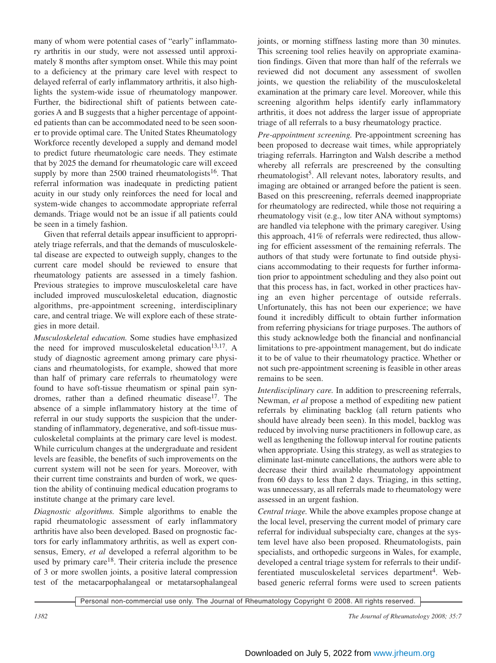many of whom were potential cases of "early" inflammatory arthritis in our study, were not assessed until approximately 8 months after symptom onset. While this may point to a deficiency at the primary care level with respect to delayed referral of early inflammatory arthritis, it also highlights the system-wide issue of rheumatology manpower. Further, the bidirectional shift of patients between categories A and B suggests that a higher percentage of appointed patients than can be accommodated need to be seen sooner to provide optimal care. The United States Rheumatology Workforce recently developed a supply and demand model to predict future rheumatologic care needs. They estimate that by 2025 the demand for rheumatologic care will exceed supply by more than  $2500$  trained rheumatologists<sup>16</sup>. That referral information was inadequate in predicting patient acuity in our study only reinforces the need for local and system-wide changes to accommodate appropriate referral demands. Triage would not be an issue if all patients could be seen in a timely fashion.

Given that referral details appear insufficient to appropriately triage referrals, and that the demands of musculoskeletal disease are expected to outweigh supply, changes to the current care model should be reviewed to ensure that rheumatology patients are assessed in a timely fashion. Previous strategies to improve musculoskeletal care have included improved musculoskeletal education, diagnostic algorithms, pre-appointment screening, interdisciplinary care, and central triage. We will explore each of these strategies in more detail.

*Musculoskeletal education.* Some studies have emphasized the need for improved musculoskeletal education<sup>13,17</sup>. A study of diagnostic agreement among primary care physicians and rheumatologists, for example, showed that more than half of primary care referrals to rheumatology were found to have soft-tissue rheumatism or spinal pain syndromes, rather than a defined rheumatic disease<sup>17</sup>. The absence of a simple inflammatory history at the time of referral in our study supports the suspicion that the understanding of inflammatory, degenerative, and soft-tissue musculoskeletal complaints at the primary care level is modest. While curriculum changes at the undergraduate and resident levels are feasible, the benefits of such improvements on the current system will not be seen for years. Moreover, with their current time constraints and burden of work, we question the ability of continuing medical education programs to institute change at the primary care level.

*Diagnostic algorithms.* Simple algorithms to enable the rapid rheumatologic assessment of early inflammatory arthritis have also been developed. Based on prognostic factors for early inflammatory arthritis, as well as expert consensus, Emery, *et al* developed a referral algorithm to be used by primary care<sup>18</sup>. Their criteria include the presence of 3 or more swollen joints, a positive lateral compression test of the metacarpophalangeal or metatarsophalangeal joints, or morning stiffness lasting more than 30 minutes. This screening tool relies heavily on appropriate examination findings. Given that more than half of the referrals we reviewed did not document any assessment of swollen joints, we question the reliability of the musculoskeletal examination at the primary care level. Moreover, while this screening algorithm helps identify early inflammatory arthritis, it does not address the larger issue of appropriate triage of all referrals to a busy rheumatology practice.

*Pre-appointment screening.* Pre-appointment screening has been proposed to decrease wait times, while appropriately triaging referrals. Harrington and Walsh describe a method whereby all referrals are prescreened by the consulting rheumatologist<sup>5</sup>. All relevant notes, laboratory results, and imaging are obtained or arranged before the patient is seen. Based on this prescreening, referrals deemed inappropriate for rheumatology are redirected, while those not requiring a rheumatology visit (e.g., low titer ANA without symptoms) are handled via telephone with the primary caregiver. Using this approach, 41% of referrals were redirected, thus allowing for efficient assessment of the remaining referrals. The authors of that study were fortunate to find outside physicians accommodating to their requests for further information prior to appointment scheduling and they also point out that this process has, in fact, worked in other practices having an even higher percentage of outside referrals. Unfortunately, this has not been our experience; we have found it incredibly difficult to obtain further information from referring physicians for triage purposes. The authors of this study acknowledge both the financial and nonfinancial limitations to pre-appointment management, but do indicate it to be of value to their rheumatology practice. Whether or not such pre-appointment screening is feasible in other areas remains to be seen.

*Interdisciplinary care.* In addition to prescreening referrals, Newman, *et al* propose a method of expediting new patient referrals by eliminating backlog (all return patients who should have already been seen). In this model, backlog was reduced by involving nurse practitioners in followup care, as well as lengthening the followup interval for routine patients when appropriate. Using this strategy, as well as strategies to eliminate last-minute cancellations, the authors were able to decrease their third available rheumatology appointment from 60 days to less than 2 days. Triaging, in this setting, was unnecessary, as all referrals made to rheumatology were assessed in an urgent fashion.

*Central triage.* While the above examples propose change at the local level, preserving the current model of primary care referral for individual subspecialty care, changes at the system level have also been proposed. Rheumatologists, pain specialists, and orthopedic surgeons in Wales, for example, developed a central triage system for referrals to their undifferentiated musculoskeletal services department<sup>4</sup>. Webbased generic referral forms were used to screen patients

Personal non-commercial use only. The Journal of Rheumatology Copyright © 2008. All rights reserved.